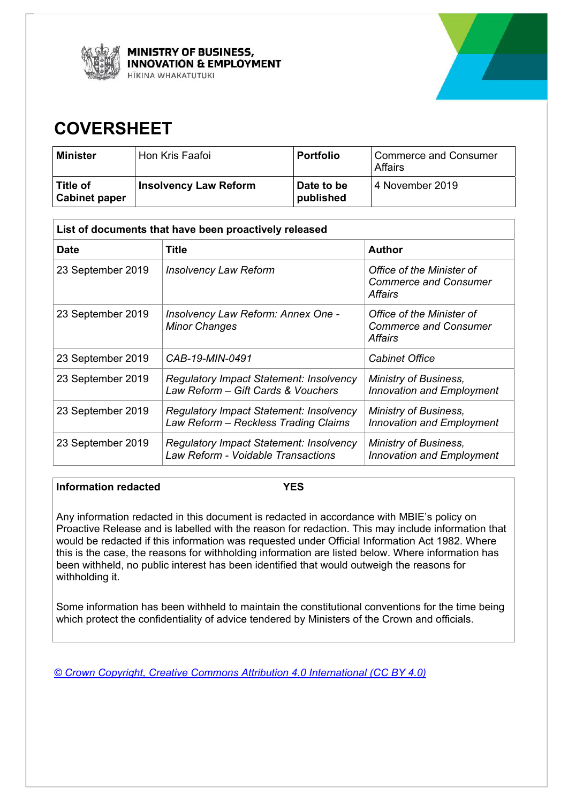



# **COVERSHEET**

| <b>Minister</b>                    | Hon Kris Faafoi              | <b>Portfolio</b>        | Commerce and Consumer<br><b>Affairs</b> |
|------------------------------------|------------------------------|-------------------------|-----------------------------------------|
| ∣ Title of<br><b>Cabinet paper</b> | <b>Insolvency Law Reform</b> | Date to be<br>published | 4 November 2019                         |

| List of documents that have been proactively released |                                                                                        |                                                                      |  |
|-------------------------------------------------------|----------------------------------------------------------------------------------------|----------------------------------------------------------------------|--|
| <b>Date</b>                                           | Title                                                                                  | <b>Author</b>                                                        |  |
| 23 September 2019                                     | <b>Insolvency Law Reform</b>                                                           | Office of the Minister of<br><b>Commerce and Consumer</b><br>Affairs |  |
| 23 September 2019                                     | Insolvency Law Reform: Annex One -<br><b>Minor Changes</b>                             | Office of the Minister of<br><b>Commerce and Consumer</b><br>Affairs |  |
| 23 September 2019                                     | CAB-19-MIN-0491                                                                        | <b>Cabinet Office</b>                                                |  |
| 23 September 2019                                     | <b>Regulatory Impact Statement: Insolvency</b><br>Law Reform - Gift Cards & Vouchers   | <b>Ministry of Business,</b><br><b>Innovation and Employment</b>     |  |
| 23 September 2019                                     | <b>Regulatory Impact Statement: Insolvency</b><br>Law Reform - Reckless Trading Claims | <b>Ministry of Business,</b><br>Innovation and Employment            |  |
| 23 September 2019                                     | <b>Regulatory Impact Statement: Insolvency</b><br>Law Reform - Voidable Transactions   | <b>Ministry of Business,</b><br><b>Innovation and Employment</b>     |  |

#### **Information redacted YES**

Any information redacted in this document is redacted in accordance with MBIE's policy on Proactive Release and is labelled with the reason for redaction. This may include information that would be redacted if this information was requested under Official Information Act 1982. Where this is the case, the reasons for withholding information are listed below. Where information has been withheld, no public interest has been identified that would outweigh the reasons for withholding it.

Some information has been withheld to maintain the constitutional conventions for the time being which protect the confidentiality of advice tendered by Ministers of the Crown and officials.

*© Crown Copyright, Creative Commons Attribution 4.0 International (CC BY 4.0)*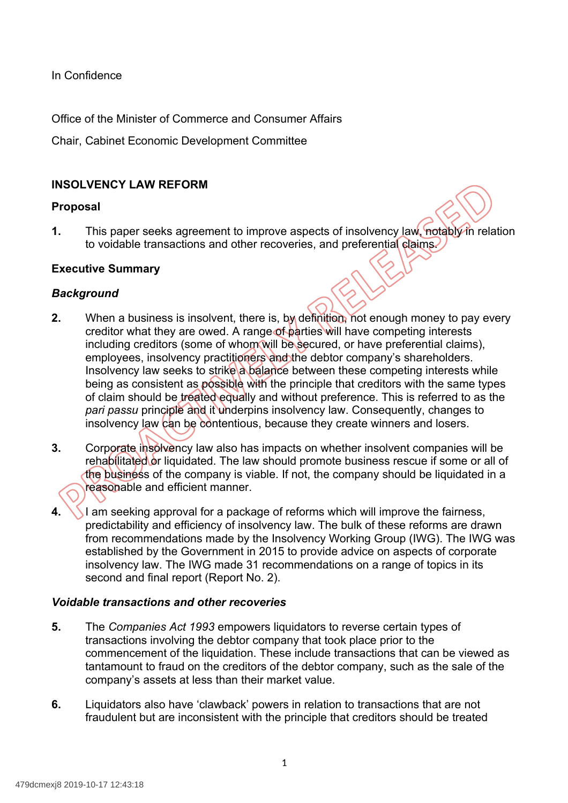In Confidence

Office of the Minister of Commerce and Consumer Affairs

Chair, Cabinet Economic Development Committee

# **INSOLVENCY LAW REFORM**

### **Proposal**

**1.** This paper seeks agreement to improve aspects of insolvency law, notably in relation to voidable transactions and other recoveries, and preferential claims.

### **Executive Summary**

### *Background*

- **2.** When a business is insolvent, there is, by definition, not enough money to pay every creditor what they are owed. A range of parties will have competing interests including creditors (some of whom will be secured, or have preferential claims), employees, insolvency practitioners and the debtor company's shareholders. Insolvency law seeks to strike a balance between these competing interests while being as consistent as possible with the principle that creditors with the same types of claim should be treated equally and without preference. This is referred to as the pari passu principle and it underpins insolvency law. Consequently, changes to insolvency law can be contentious, because they create winners and losers.
- **3.** Corporate insolvency law also has impacts on whether insolvent companies will be rehabilitated or liquidated. The law should promote business rescue if some or all of the business of the company is viable. If not, the company should be liquidated in a reasonable and efficient manner.
- **4.** I am seeking approval for a package of reforms which will improve the fairness, predictability and efficiency of insolvency law. The bulk of these reforms are drawn from recommendations made by the Insolvency Working Group (IWG). The IWG was established by the Government in 2015 to provide advice on aspects of corporate insolvency law. The IWG made 31 recommendations on a range of topics in its second and final report (Report No. 2).

#### *Voidable transactions and other recoveries*

- **5.** The *Companies Act 1993* empowers liquidators to reverse certain types of transactions involving the debtor company that took place prior to the commencement of the liquidation. These include transactions that can be viewed as tantamount to fraud on the creditors of the debtor company, such as the sale of the company's assets at less than their market value.
- **6.** Liquidators also have 'clawback' powers in relation to transactions that are not fraudulent but are inconsistent with the principle that creditors should be treated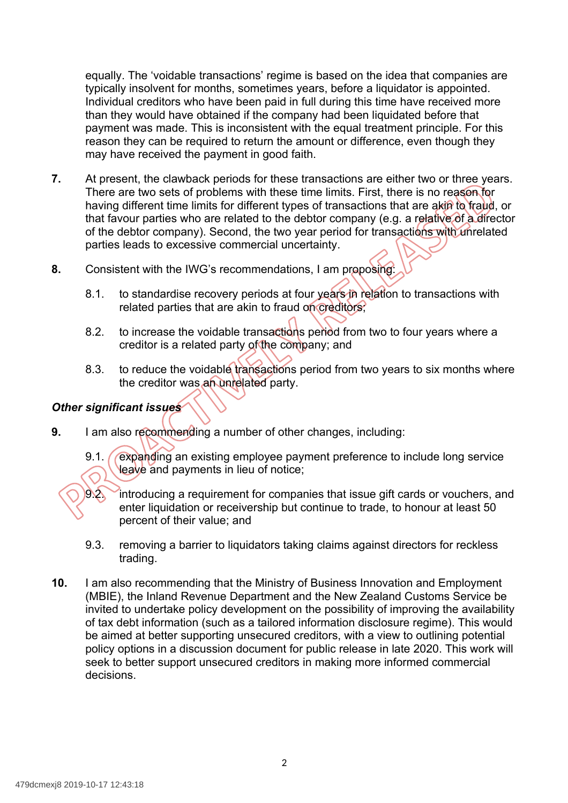equally. The 'voidable transactions' regime is based on the idea that companies are typically insolvent for months, sometimes years, before a liquidator is appointed. Individual creditors who have been paid in full during this time have received more than they would have obtained if the company had been liquidated before that payment was made. This is inconsistent with the equal treatment principle. For this reason they can be required to return the amount or difference, even though they may have received the payment in good faith.

- **7.** At present, the clawback periods for these transactions are either two or three years. There are two sets of problems with these time limits. First, there is no reason for having different time limits for different types of transactions that are akin to fraud, or that favour parties who are related to the debtor company (e.g. a relative of a director of the debtor company). Second, the two year period for transactions with unrelated parties leads to excessive commercial uncertainty.
- **8.** Consistent with the IWG's recommendations, I am proposing
	- 8.1. to standardise recovery periods at four years in relation to transactions with related parties that are akin to fraud on creditors;
	- 8.2. to increase the voidable transactions period from two to four years where a creditor is a related party of the company; and
	- 8.3. to reduce the voidable transactions period from two years to six months where the creditor was an unrelated party.

# *Other significant issues*

- **9.** I am also recommending a number of other changes, including:
	- 9.1. **Caxpanding an existing employee payment preference to include long service** leave and payments in lieu of notice;
	- 9.2. introducing a requirement for companies that issue gift cards or vouchers, and enter liquidation or receivership but continue to trade, to honour at least 50 percent of their value; and
	- 9.3. removing a barrier to liquidators taking claims against directors for reckless trading.
- **10.** I am also recommending that the Ministry of Business Innovation and Employment (MBIE), the Inland Revenue Department and the New Zealand Customs Service be invited to undertake policy development on the possibility of improving the availability of tax debt information (such as a tailored information disclosure regime). This would be aimed at better supporting unsecured creditors, with a view to outlining potential policy options in a discussion document for public release in late 2020. This work will seek to better support unsecured creditors in making more informed commercial decisions.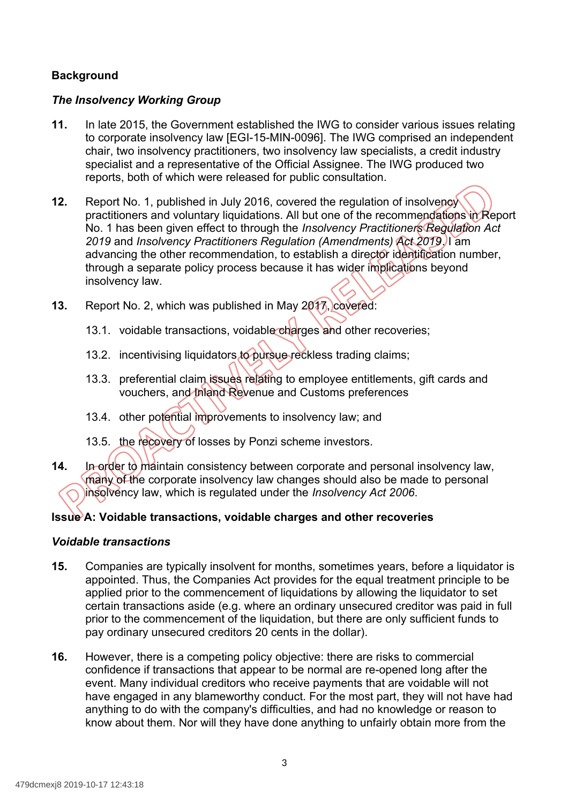# **Background**

# *The Insolvency Working Group*

- **11.** In late 2015, the Government established the IWG to consider various issues relating to corporate insolvency law [EGI-15-MIN-0096]. The IWG comprised an independent chair, two insolvency practitioners, two insolvency law specialists, a credit industry specialist and a representative of the Official Assignee. The IWG produced two reports, both of which were released for public consultation.
- **12.** Report No. 1, published in July 2016, covered the regulation of insolvency practitioners and voluntary liquidations. All but one of the recommendations in Report No. 1 has been given effect to through the *Insolvency Practitioners Regulation Act 2019* and *Insolvency Practitioners Regulation (Amendments) Act 2019*. I am advancing the other recommendation, to establish a director identification number, through a separate policy process because it has wider implications beyond insolvency law.
- **13.** Report No. 2, which was published in May 2017, covered:
	- 13.1. voidable transactions, voidable charges and other recoveries;
	- 13.2. incentivising liquidators to pursue reckless trading claims;
	- 13.3. preferential claim issues relating to employee entitlements, gift cards and vouchers, and Inland Revenue and Customs preferences
	- 13.4. other potential improvements to insolvency law; and
	- 13.5. the recovery of losses by Ponzi scheme investors.
- **14.** In order to maintain consistency between corporate and personal insolvency law, many of the corporate insolvency law changes should also be made to personal insolvency law, which is regulated under the *Insolvency Act 2006*.

# **Issue A: Voidable transactions, voidable charges and other recoveries**

#### *Voidable transactions*

- **15.** Companies are typically insolvent for months, sometimes years, before a liquidator is appointed. Thus, the Companies Act provides for the equal treatment principle to be applied prior to the commencement of liquidations by allowing the liquidator to set certain transactions aside (e.g. where an ordinary unsecured creditor was paid in full prior to the commencement of the liquidation, but there are only sufficient funds to pay ordinary unsecured creditors 20 cents in the dollar).
- **16.** However, there is a competing policy objective: there are risks to commercial confidence if transactions that appear to be normal are re-opened long after the event. Many individual creditors who receive payments that are voidable will not have engaged in any blameworthy conduct. For the most part, they will not have had anything to do with the company's difficulties, and had no knowledge or reason to know about them. Nor will they have done anything to unfairly obtain more from the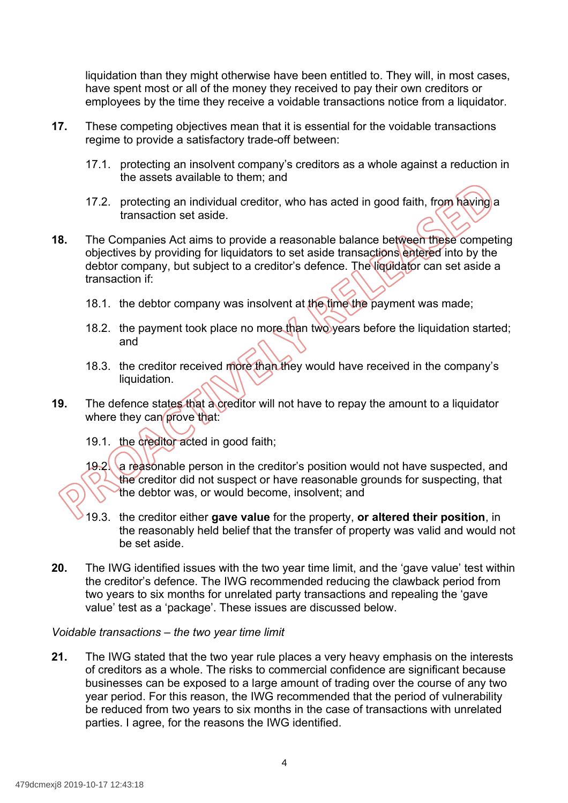liquidation than they might otherwise have been entitled to. They will, in most cases, have spent most or all of the money they received to pay their own creditors or employees by the time they receive a voidable transactions notice from a liquidator.

- **17.** These competing objectives mean that it is essential for the voidable transactions regime to provide a satisfactory trade-off between:
	- 17.1. protecting an insolvent company's creditors as a whole against a reduction in the assets available to them; and
	- 17.2. protecting an individual creditor, who has acted in good faith, from having a transaction set aside.
- **18.** The Companies Act aims to provide a reasonable balance between these competing objectives by providing for liquidators to set aside transactions entered into by the debtor company, but subject to a creditor's defence. The liquidator can set aside a transaction if:
	- 18.1. the debtor company was insolvent at the time the payment was made;
	- 18.2. the payment took place no more than two years before the liquidation started; and
	- 18.3. the creditor received more than they would have received in the company's liquidation.
- **19.** The defence states that a creditor will not have to repay the amount to a liquidator where they can prove that:
	- 19.1. the creditor acted in good faith;

19.2. a reasonable person in the creditor's position would not have suspected, and the creditor did not suspect or have reasonable grounds for suspecting, that the debtor was, or would become, insolvent; and

- 19.3. the creditor either **gave value** for the property, **or altered their position**, in the reasonably held belief that the transfer of property was valid and would not be set aside.
- **20.** The IWG identified issues with the two year time limit, and the 'gave value' test within the creditor's defence. The IWG recommended reducing the clawback period from two years to six months for unrelated party transactions and repealing the 'gave value' test as a 'package'. These issues are discussed below.

#### *Voidable transactions – the two year time limit*

 **21.** The IWG stated that the two year rule places a very heavy emphasis on the interests of creditors as a whole. The risks to commercial confidence are significant because businesses can be exposed to a large amount of trading over the course of any two year period. For this reason, the IWG recommended that the period of vulnerability be reduced from two years to six months in the case of transactions with unrelated parties. I agree, for the reasons the IWG identified.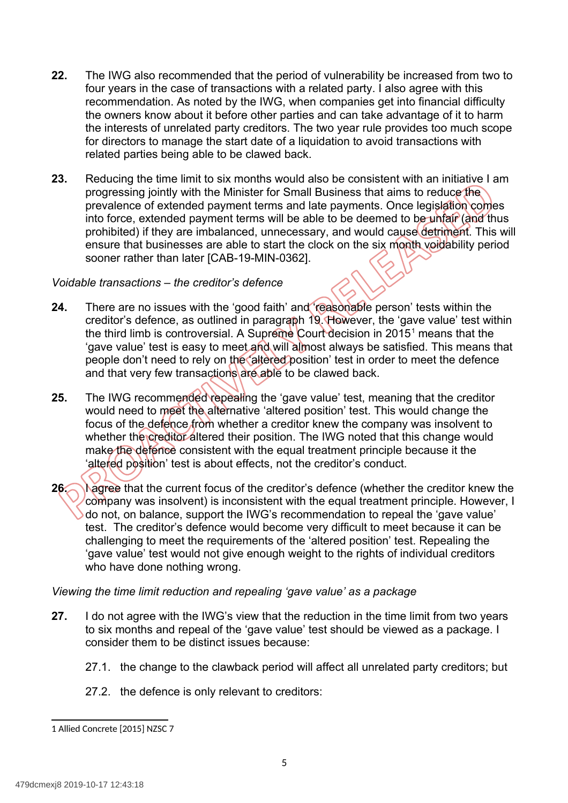- **22.** The IWG also recommended that the period of vulnerability be increased from two to four years in the case of transactions with a related party. I also agree with this [recommendation. As](https://recommendation.As) noted by the IWG, when companies get into financial difficulty the owners know about it before other parties and can take advantage of it to harm the interests of unrelated party creditors. The two year rule provides too much scope for directors to manage the start date of a liquidation to avoid transactions with related parties being able to be clawed back.
- **23.** Reducing the time limit to six months would also be consistent with an initiative I am progressing jointly with the Minister for Small Business that aims to reduce the prevalence of extended payment terms and late payments. Once legislation comes into force, extended payment terms will be able to be deemed to be unfair (and thus prohibited) if they are imbalanced, unnecessary, and would cause detriment. This will ensure that businesses are able to start the clock on the six month voidability period sooner rather than later [CAB-19-MIN-0362].

#### *Voidable transactions – the creditor's defence*

- **24.** There are no issues with the 'good faith' and 'reasonable person' tests within the creditor's defence, as outlined in paragraph 19. However, the 'gave value' test within the third limb is controversial. A Supreme Court decision in 2015<sup>1</sup> means that the 'gave value' test is easy to meet and will almost always be satisfied. This means that people don't need to rely on the 'altered' position' test in order to meet the defence and that very few transactions are able to be clawed back.
- **25.** The IWG recommended repealing the 'gave value' test, meaning that the creditor would need to meet the alternative 'altered position' test. This would change the focus of the defence from whether a creditor knew the company was insolvent to whether the creditor altered their position. The IWG noted that this change would make the defence consistent with the equal treatment principle because it the 'altered position' test is about effects, not the creditor's conduct.
- **26. I agree that the current focus of the creditor's defence (whether the creditor knew the**  company was insolvent) is inconsistent with the equal treatment principle. However, I do not, on balance, support the IWG's recommendation to repeal the 'gave value' test. The creditor's defence would become very difficult to meet because it can be challenging to meet the requirements of the 'altered position' test. Repealing the 'gave value' test would not give enough weight to the rights of individual creditors who have done nothing wrong.

#### *Viewing the time limit reduction and repealing 'gave value' as a package*

- **27.** I do not agree with the IWG's view that the reduction in the time limit from two years to six months and repeal of the 'gave value' test should be viewed as a package. I consider them to be distinct issues because:
	- 27.1. the change to the clawback period will affect all unrelated party creditors; but
	- 27.2. the defence is only relevant to creditors:

<span id="page-5-0"></span> 1 Allied Concrete [2015] NZSC 7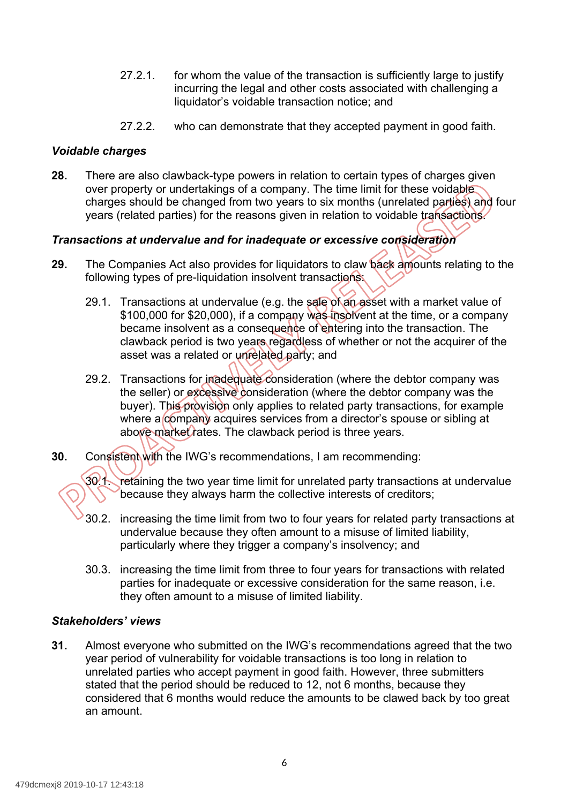- 27.2.1. for whom the value of the transaction is sufficiently large to justify incurring the legal and other costs associated with challenging a liquidator's voidable transaction notice; and
- 27.2.2. who can demonstrate that they accepted payment in good faith.

### *Voidable charges*

 **28.** There are also clawback-type powers in relation to certain types of charges given over property or undertakings of a company. The time limit for these voidable, charges should be changed from two years to six months (unrelated parties) and four years (related parties) for the reasons given in relation to voidable transactions.

# *Transactions at undervalue and for inadequate or excessive consideration*

- **29.** The Companies Act also provides for liquidators to claw back amounts relating to the following types of pre-liquidation insolvent transactions:
	- 29.1. Transactions at undervalue (e.g. the sale of an asset with a market value of \$100,000 for \$20,000), if a company was insolvent at the time, or a company became insolvent as a consequence of entering into the transaction. The clawback period is two years regardless of whether or not the acquirer of the asset was a related or unrelated party; and
	- 29.2. Transactions for inadequate consideration (where the debtor company was the seller) or excessive consideration (where the debtor company was the buyer). This provision only applies to related party transactions, for example where a company acquires services from a director's spouse or sibling at above market rates. The clawback period is three years.
- **30.** Consistent with the IWG's recommendations, I am recommending:

30<sup>1</sup>. retaining the two year time limit for unrelated party transactions at undervalue because they always harm the collective interests of creditors;

- 30.2. increasing the time limit from two to four years for related party transactions at undervalue because they often amount to a misuse of limited liability, particularly where they trigger a company's insolvency; and
- 30.3. increasing the time limit from three to four years for transactions with related parties for inadequate or excessive consideration for the same reason, i.e. they often amount to a misuse of limited liability.

#### *Stakeholders' views*

 **31.** Almost everyone who submitted on the IWG's recommendations agreed that the two year period of vulnerability for voidable transactions is too long in relation to unrelated parties who accept payment in good faith. However, three submitters stated that the period should be reduced to 12, not 6 months, because they considered that 6 months would reduce the amounts to be clawed back by too great an amount.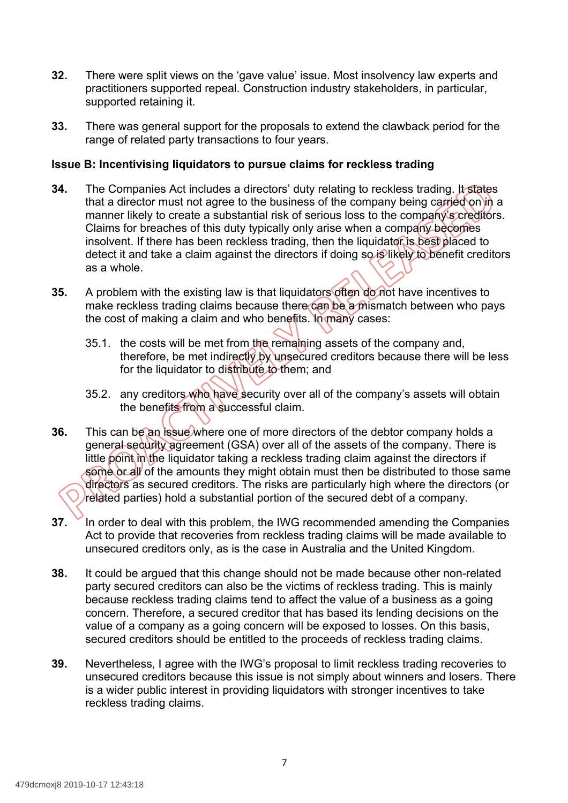- **32.** There were split views on the 'gave value' issue. Most insolvency law experts and practitioners supported repeal. Construction industry stakeholders, in particular, supported retaining it.
- **33.** There was general support for the proposals to extend the clawback period for the range of related party transactions to four years.

#### **Issue B: Incentivising liquidators to pursue claims for reckless trading**

- **34.** The Companies Act includes a directors' duty relating to reckless trading. It states that a director must not agree to the business of the company being carried on in a manner likely to create a substantial risk of serious loss to the company's creditors. Claims for breaches of this duty typically only arise when a company becomes insolvent. If there has been reckless trading, then the liquidator is best placed to detect it and take a claim against the directors if doing so is likely to benefit creditors as a whole.
- **35.** A problem with the existing law is that liquidators often do not have incentives to make reckless trading claims because there can be a mismatch between who pays the cost of making a claim and who benefits. In many cases:
	- 35.1. the costs will be met from the remaining assets of the company and, therefore, be met indirectly by unsecured creditors because there will be less for the liquidator to distribute to them; and
	- 35.2. any creditors who have security over all of the company's assets will obtain the benefits from a successful claim.
- **36.** This can be an issue where one of more directors of the debtor company holds a general security agreement (GSA) over all of the assets of the company. There is little point in the liquidator taking a reckless trading claim against the directors if some or all of the amounts they might obtain must then be distributed to those same directors as secured creditors. The risks are particularly high where the directors (or related parties) hold a substantial portion of the secured debt of a company.
- **37.** In order to deal with this problem, the IWG recommended amending the Companies Act to provide that recoveries from reckless trading claims will be made available to unsecured creditors only, as is the case in Australia and the United Kingdom.
- **38.** It could be argued that this change should not be made because other non-related party secured creditors can also be the victims of reckless trading. This is mainly because reckless trading claims tend to affect the value of a business as a going concern. Therefore, a secured creditor that has based its lending decisions on the value of a company as a going concern will be exposed to losses. On this basis, secured creditors should be entitled to the proceeds of reckless trading claims.
- **39.** Nevertheless, I agree with the IWG's proposal to limit reckless trading recoveries to unsecured creditors because this issue is not simply about winners and losers. There is a wider public interest in providing liquidators with stronger incentives to take reckless trading claims.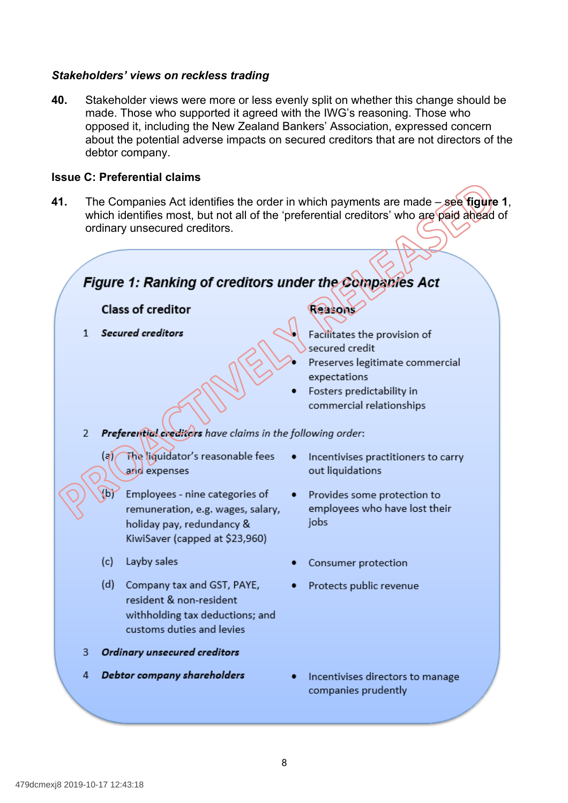#### *Stakeholders' views on reckless trading*

 **40.** Stakeholder views were more or less evenly split on whether this change should be made. Those who supported it agreed with the IWG's reasoning. Those who opposed it, including the New Zealand Bankers' Association, expressed concern about the potential adverse impacts on secured creditors that are not directors of the debtor company.

#### **Issue C: Preferential claims**

 **41.** The Companies Act identifies the order in which payments are made – see **figure 1**, which identifies most, but not all of the 'preferential creditors' who are paid ahead of ordinary unsecured creditors.

# Figure 1: Ranking of creditors under the Companies Act

#### **Class of creditor**

1 Secured creditors

#### Reasons

- Facilitates the provision of secured credit
- Preserves legitimate commercial expectations
- Fosters predictability in commercial relationships

#### Preferential creditors have claims in the following order:  $2^{\circ}$

The liquidator's reasonable fees  $(a)$ and expenses

(b) Employees - nine categories of remuneration, e.g. wages, salary, holiday pay, redundancy & KiwiSaver (capped at \$23,960)

(c) Layby sales

(d) Company tax and GST, PAYE, resident & non-resident withholding tax deductions; and customs duties and levies

3 Ordinary unsecured creditors

4 Debtor company shareholders

- Incentivises practitioners to carry out liquidations
- Provides some protection to employees who have lost their iobs
- Consumer protection
- Protects public revenue
- Incentivises directors to manage companies prudently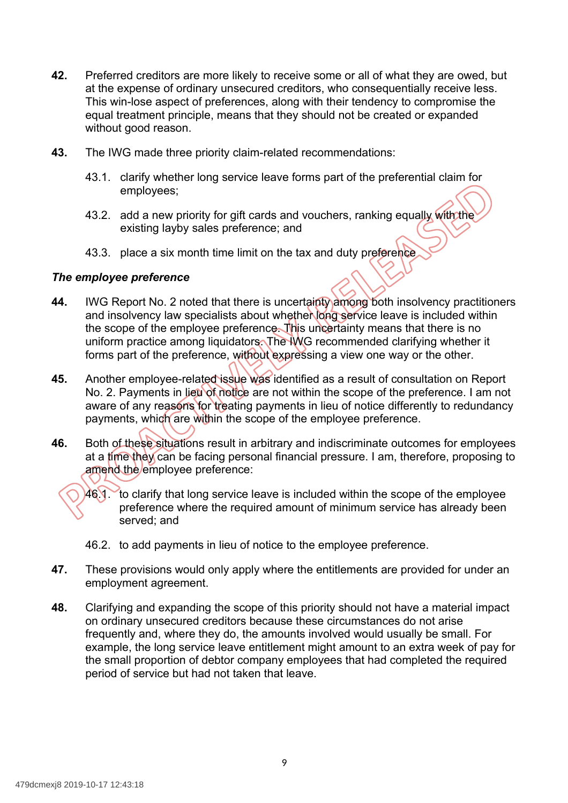- **42.** Preferred creditors are more likely to receive some or all of what they are owed, but at the expense of ordinary unsecured creditors, who consequentially receive less. This win-lose aspect of preferences, along with their tendency to compromise the equal treatment principle, means that they should not be created or expanded without good reason.
- **43.** The IWG made three priority claim-related recommendations:
	- 43.1. clarify whether long service leave forms part of the preferential claim for employees;
	- 43.2. add a new priority for gift cards and vouchers, ranking equally with the existing layby sales preference; and
	- 43.3. place a six month time limit on the tax and duty preference

#### *The employee preference*

- **44.** IWG Report No. 2 noted that there is uncertainty among both insolvency practitioners and insolvency law specialists about whether long service leave is included within the scope of the employee preference. This uncertainty means that there is no uniform practice among liquidators. The IWG recommended clarifying whether it forms part of the preference, without expressing a view one way or the other.
- **45.** Another employee-related issue was identified as a result of consultation on Report No. 2. Payments in lieu of notice are not within the scope of the preference. I am not aware of any reasons for treating payments in lieu of notice differently to redundancy payments, which are within the scope of the employee preference.
- **46.** Both of these situations result in arbitrary and indiscriminate outcomes for employees at a time they can be facing personal financial pressure. I am, therefore, proposing to amend the employee preference:

 46.1. to clarify that long service leave is included within the scope of the employee preference where the required amount of minimum service has already been served; and

- 46.2. to add payments in lieu of notice to the employee preference.
- **47.** These provisions would only apply where the entitlements are provided for under an employment agreement.
- **48.** Clarifying and expanding the scope of this priority should not have a material impact on ordinary unsecured creditors because these circumstances do not arise frequently and, where they do, the amounts involved would usually be small. For example, the long service leave entitlement might amount to an extra week of pay for the small proportion of debtor company employees that had completed the required period of service but had not taken that leave.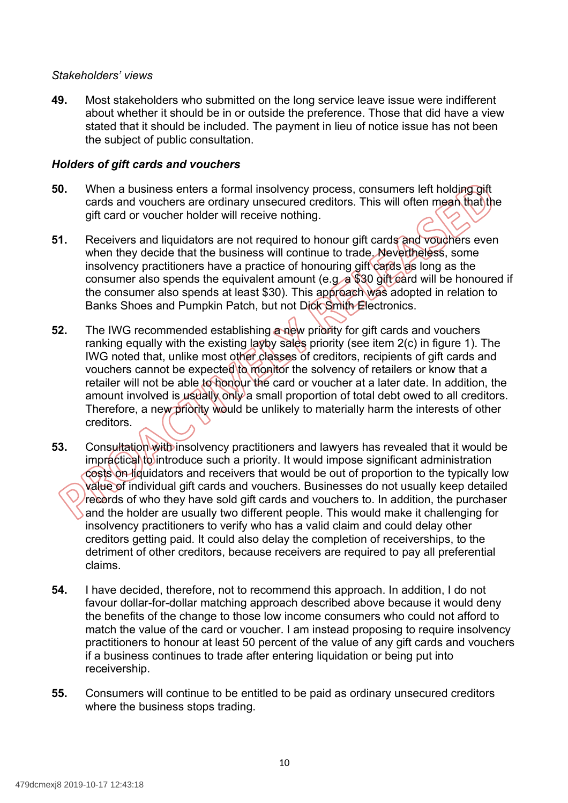#### *Stakeholders' views*

 **49.** Most stakeholders who submitted on the long service leave issue were indifferent about whether it should be in or outside the preference. Those that did have a view stated that it should be included. The payment in lieu of notice issue has not been the subject of public consultation.

#### *Holders of gift cards and vouchers*

- **50.** When a business enters a formal insolvency process, consumers left holding gift cards and vouchers are ordinary unsecured creditors. This will often mean that the gift card or voucher holder will receive nothing.
- **51.** Receivers and liquidators are not required to honour gift cards and vouchers even when they decide that the business will continue to trade. Nevertheless, some insolvency practitioners have a practice of honouring gift cards as long as the consumer also spends the equivalent amount (e.g.  $\alpha$  \$30 gift card will be honoured if the consumer also spends at least \$30). This approach was adopted in relation to Banks Shoes and Pumpkin Patch, but not Dick Smith Electronics.
- **52.** The IWG recommended establishing a new priority for gift cards and vouchers ranking equally with the existing layby sales priority (see item 2(c) in figure 1). The IWG noted that, unlike most other classes of creditors, recipients of gift cards and vouchers cannot be expected to monitor the solvency of retailers or know that a retailer will not be able to honour the card or voucher at a later date. In addition, the amount involved is usually only a small proportion of total debt owed to all creditors. Therefore, a new priority would be unlikely to materially harm the interests of other creditors.
- **53.** Consultation with insolvency practitioners and lawyers has revealed that it would be impractical to introduce such a priority. It would impose significant administration costs on liquidators and receivers that would be out of proportion to the typically low value of individual gift cards and vouchers. Businesses do not usually keep detailed records of who they have sold gift cards and vouchers to. In addition, the purchaser and the holder are usually two different people. This would make it challenging for insolvency practitioners to verify who has a valid claim and could delay other creditors getting paid. It could also delay the completion of receiverships, to the detriment of other creditors, because receivers are required to pay all preferential claims.
- **54.** I have decided, therefore, not to recommend this approach. In addition, I do not favour dollar-for-dollar matching approach described above because it would deny the benefits of the change to those low income consumers who could not afford to match the value of the card or voucher. I am instead proposing to require insolvency practitioners to honour at least 50 percent of the value of any gift cards and vouchers if a business continues to trade after entering liquidation or being put into receivership.
- **55.** Consumers will continue to be entitled to be paid as ordinary unsecured creditors where the business stops trading.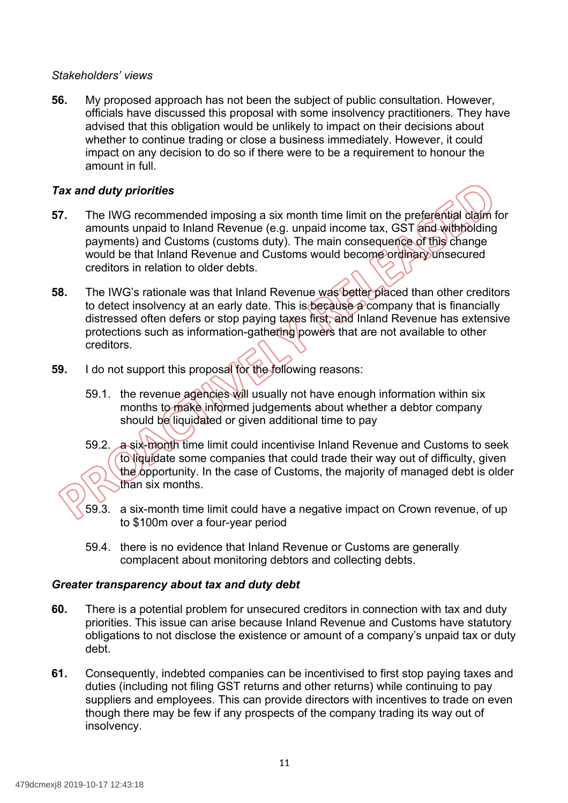#### *Stakeholders' views*

 **56.** My proposed approach has not been the subject of public consultation. However, officials have discussed this proposal with some insolvency practitioners. They have advised that this obligation would be unlikely to impact on their decisions about whether to continue trading or close a business immediately. However, it could impact on any decision to do so if there were to be a requirement to honour the amount in full.

### *Tax and duty priorities*



- **57.** The IWG recommended imposing a six month time limit on the preferential claim for amounts unpaid to Inland Revenue (e.g. unpaid income tax, GST and withholding payments) and Customs (customs duty). The main consequence of this change would be that Inland Revenue and Customs would become ordinary unsecured creditors in relation to older debts.
- **58.** The IWG's rationale was that Inland Revenue was better placed than other creditors to detect insolvency at an early date. This is because a company that is financially distressed often defers or stop paying taxes first, and Inland Revenue has extensive protections such as information-gathering powers that are not available to other creditors.
- **59.** I do not support this proposal for the following reasons:
	- 59.1. the revenue agencies will usually not have enough information within six months to make informed judgements about whether a debtor company should be liquidated or given additional time to pay
	- 59.2. a six-month time limit could incentivise Inland Revenue and Customs to seek to liquidate some companies that could trade their way out of difficulty, given the opportunity. In the case of Customs, the majority of managed debt is older than six months.
	- 59.3. a six-month time limit could have a negative impact on Crown revenue, of up to \$100m over a four-year period
	- 59.4. there is no evidence that Inland Revenue or Customs are generally complacent about monitoring debtors and collecting debts.

#### *Greater transparency about tax and duty debt*

- **60.** There is a potential problem for unsecured creditors in connection with tax and duty priorities. This issue can arise because Inland Revenue and Customs have statutory obligations to not disclose the existence or amount of a company's unpaid tax or duty debt.
- **61.** Consequently, indebted companies can be incentivised to first stop paying taxes and duties (including not filing GST returns and other returns) while continuing to pay suppliers and employees. This can provide directors with incentives to trade on even though there may be few if any prospects of the company trading its way out of insolvency.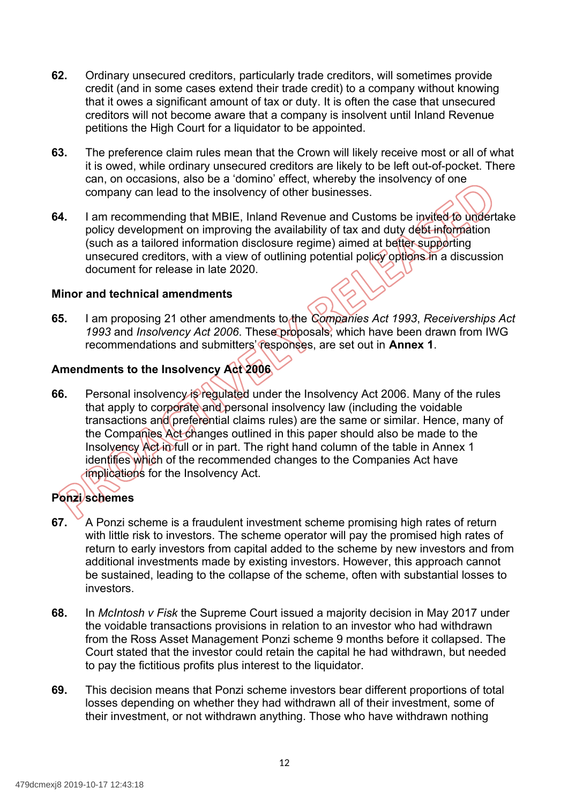- **62.** Ordinary unsecured creditors, particularly trade creditors, will sometimes provide credit (and in some cases extend their trade credit) to a company without knowing that it owes a significant amount of tax or duty. It is often the case that unsecured creditors will not become aware that a company is insolvent until Inland Revenue petitions the High Court for a liquidator to be appointed.
- **63.** The preference claim rules mean that the Crown will likely receive most or all of what it is owed, while ordinary unsecured creditors are likely to be left out-of-pocket. There can, on occasions, also be a 'domino' effect, whereby the insolvency of one company can lead to the insolvency of other businesses.
- **64.** I am recommending that MBIE, Inland Revenue and Customs be invited to undertake policy development on improving the availability of tax and duty debt information (such as a tailored information disclosure regime) aimed at better supporting unsecured creditors, with a view of outlining potential policy options in a discussion document for release in late 2020.

#### **Minor and technical amendments**

 **65.** I am proposing 21 other amendments to the *Companies Act 1993*, *Receiverships Act 1993* and *Insolvency Act 2006*. These proposals, which have been drawn from IWG recommendations and submitters' responses, are set out in **Annex 1**.

# **Amendments to the Insolvency Act 2006**

**66.** Personal insolvency is regulated under the Insolvency Act 2006. Many of the rules that apply to corporate and personal insolvency law (including the voidable transactions and preferential claims rules) are the same or similar. Hence, many of the Companies Act changes outlined in this paper should also be made to the Insolvency Act in full or in part. The right hand column of the table in Annex 1 identifies which of the recommended changes to the Companies Act have implications for the Insolvency Act.

# **Ponzi schemes**

- **67.** A Ponzi scheme is a fraudulent investment scheme promising high rates of return with little risk to investors. The scheme operator will pay the promised high rates of return to early investors from capital added to the scheme by new investors and from additional investments made by existing investors. However, this approach cannot be sustained, leading to the collapse of the scheme, often with substantial losses to investors.
- **68.** In *McIntosh v Fisk* the Supreme Court issued a majority decision in May 2017 under the voidable transactions provisions in relation to an investor who had withdrawn from the Ross Asset Management Ponzi scheme 9 months before it collapsed. The Court stated that the investor could retain the capital he had withdrawn, but needed to pay the fictitious profits plus interest to the liquidator.
- **69.** This decision means that Ponzi scheme investors bear different proportions of total losses depending on whether they had withdrawn all of their investment, some of their investment, or not withdrawn anything. Those who have withdrawn nothing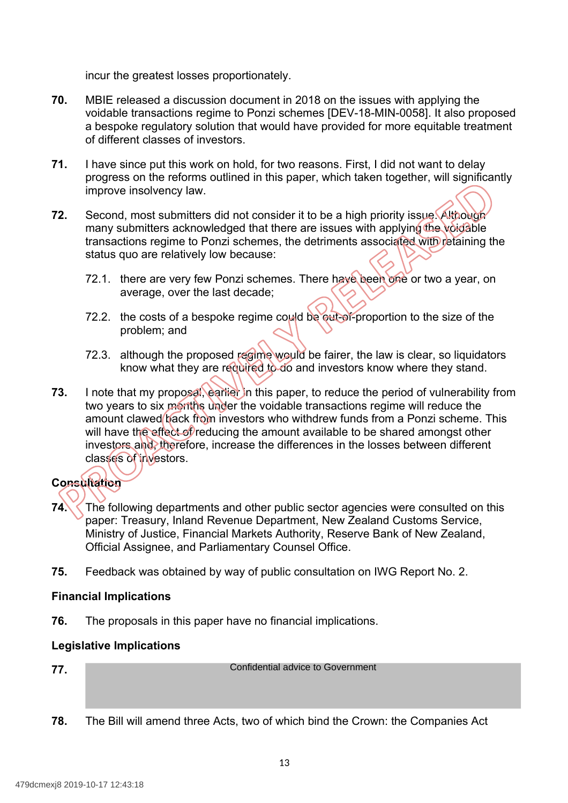incur the greatest losses proportionately.

- **70.** MBIE released a discussion document in 2018 on the issues with applying the voidable transactions regime to Ponzi schemes [DEV-18-MIN-0058]. It also proposed a bespoke regulatory solution that would have provided for more equitable treatment of different classes of investors.
- **71.** I have since put this work on hold, for two reasons. First, I did not want to delay progress on the reforms outlined in this paper, which taken together, will significantly improve insolvency law.
- **72.** Second, most submitters did not consider it to be a high priority issue. Although many submitters acknowledged that there are issues with applying the voidable transactions regime to Ponzi schemes, the detriments associated with retaining the status quo are relatively low because:
	- 72.1. there are very few Ponzi schemes. There have been one or two a year, on average, over the last decade;
	- 72.2. the costs of a bespoke regime could be out-of-proportion to the size of the problem; and
	- 72.3. although the proposed regime would be fairer, the law is clear, so liquidators know what they are required to do and investors know where they stand.
- **73.** I note that my proposal, earlier in this paper, to reduce the period of vulnerability from two years to six months under the voidable transactions regime will reduce the amount clawed back from investors who withdrew funds from a Ponzi scheme. This will have the effect of reducing the amount available to be shared amongst other investors and, therefore, increase the differences in the losses between different classes of investors.

# **Consultation**

- **74.** The following departments and other public sector agencies were consulted on this paper: Treasury, Inland Revenue Department, New Zealand Customs Service, Ministry of Justice, Financial Markets Authority, Reserve Bank of New Zealand, Official Assignee, and Parliamentary Counsel Office.
- **75.** Feedback was obtained by way of public consultation on IWG Report No. 2.

#### **Financial Implications**

**76.** The proposals in this paper have no financial implications.

#### **Legislative Implications**

**77.** 

Confidential advice to Government

**78.** The Bill will amend three Acts, two of which bind the Crown: the Companies Act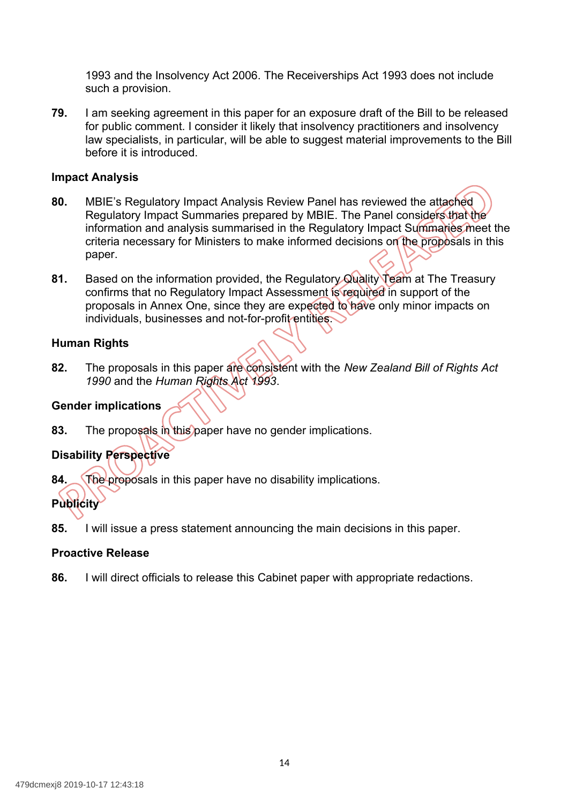1993 and the Insolvency Act 2006. The Receiverships Act 1993 does not include such a provision.

 **79.** I am seeking agreement in this paper for an exposure draft of the Bill to be released for public comment. I consider it likely that insolvency practitioners and insolvency law specialists, in particular, will be able to suggest material improvements to the Bill before it is introduced.

#### **Impact Analysis**

- **80.** MBIE's Regulatory Impact Analysis Review Panel has reviewed the attached Regulatory Impact Summaries prepared by MBIE. The Panel considers that the information and analysis summarised in the Regulatory Impact Summaries meet the criteria necessary for Ministers to make informed decisions on the proposals in this paper.
- **81.** Based on the information provided, the Regulatory Quality Team at The Treasury confirms that no Regulatory Impact Assessment is required in support of the proposals in Annex One, since they are expected to have only minor impacts on individuals, businesses and not-for-profit entities.

#### **Human Rights**

 **82.** The proposals in this paper are consistent with the *New Zealand Bill of Rights Act 1990* and the *Human Rights Act 1993*.

#### **Gender implications**

**83.** The proposals in this paper have no gender implications.

# **Disability Perspective**

**84.** The proposals in this paper have no disability implications.

# **Publicity**

**85.** I will issue a press statement announcing the main decisions in this paper.

#### **Proactive Release**

**86.** I will direct officials to release this Cabinet paper with appropriate redactions.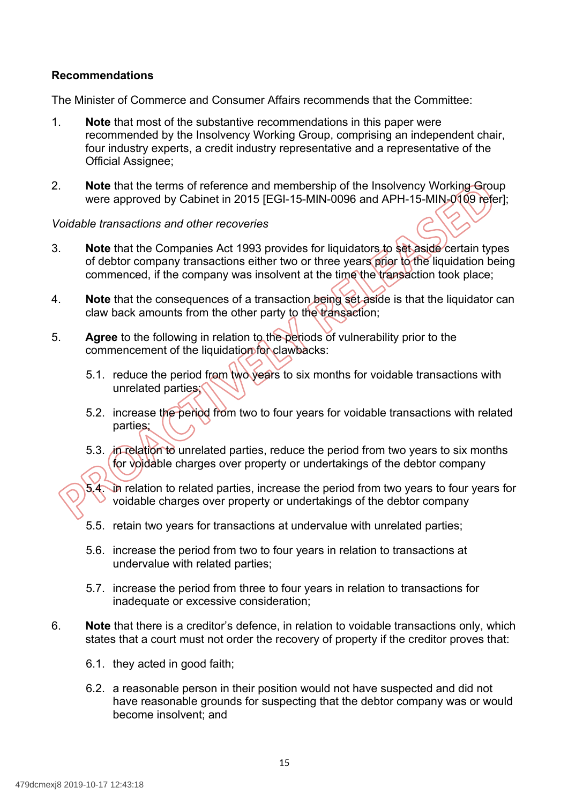### **Recommendations**

The Minister of Commerce and Consumer Affairs recommends that the Committee:

- 1. **Note** that most of the substantive recommendations in this paper were recommended by the Insolvency Working Group, comprising an independent chair, four industry experts, a credit industry representative and a representative of the Official Assignee;
- 2. **Note** that the terms of reference and membership of the Insolvency Working Group were approved by Cabinet in 2015 [EGI-15-MIN-0096 and APH-15-MIN-0109 refer];

#### *Voidable transactions and other recoveries*

- 3. **Note** that the Companies Act 1993 provides for liquidators to set aside certain types of debtor company transactions either two or three years prior to the liquidation being commenced, if the company was insolvent at the time the transaction took place;
- 4. **Note** that the consequences of a transaction being set aside is that the liquidator can claw back amounts from the other party to the transaction;
- 5. **Agree** to the following in relation to the periods of vulnerability prior to the commencement of the liquidation for clawbacks:
	- 5.1. reduce the period from two years to six months for voidable transactions with unrelated parties;
	- 5.2. increase the period from two to four years for voidable transactions with related parties;
	- 5.3. in relation to unrelated parties, reduce the period from two years to six months for voidable charges over property or undertakings of the debtor company

5.4. In relation to related parties, increase the period from two years to four years for voidable charges over property or undertakings of the debtor company

- 5.5. retain two years for transactions at undervalue with unrelated parties;
- 5.6. increase the period from two to four years in relation to transactions at undervalue with related parties;
- 5.7. increase the period from three to four years in relation to transactions for inadequate or excessive consideration;
- 6. **Note** that there is a creditor's defence, in relation to voidable transactions only, which states that a court must not order the recovery of property if the creditor proves that:
	- 6.1. they acted in good faith;
	- 6.2. a reasonable person in their position would not have suspected and did not have reasonable grounds for suspecting that the debtor company was or would become insolvent; and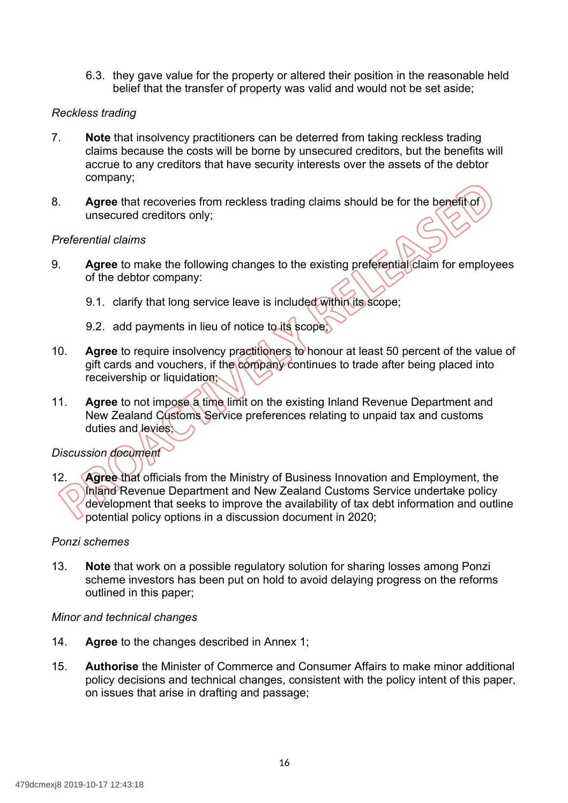6.3. they gave value for the property or altered their position in the reasonable held belief that the transfer of property was valid and would not be set aside;

#### *Reckless trading*

- 7. **Note** that insolvency practitioners can be deterred from taking reckless trading claims because the costs will be borne by unsecured creditors, but the benefits will accrue to any creditors that have security interests over the assets of the debtor company;
- 8. **Agree** that recoveries from reckless trading claims should be for the benefit of unsecured creditors only;

#### *Preferential claims*

- 9. **Agree** to make the following changes to the existing preferential claim for employees of the debtor company:
	- 9.1. clarify that long service leave is included within its scope;
	- 9.2. add payments in lieu of notice to its scope;
- 10. **Agree** to require insolvency practitioners to honour at least 50 percent of the value of gift cards and vouchers, if the company continues to trade after being placed into receivership or liquidation;
- 11. **Agree** to not impose a time limit on the existing Inland Revenue Department and New Zealand Customs Service preferences relating to unpaid tax and customs duties and **levies**

#### *Discussion document*

 12. **Agree** that officials from the Ministry of Business Innovation and Employment, the Inland Revenue Department and New Zealand Customs Service undertake policy development that seeks to improve the availability of tax debt information and outline potential policy options in a discussion document in 2020;

#### *Ponzi schemes*

 13. **Note** that work on a possible regulatory solution for sharing losses among Ponzi scheme investors has been put on hold to avoid delaying progress on the reforms outlined in this paper;

#### *Minor and technical changes*

- 14. **Agree** to the changes described in Annex 1;
- 15. **Authorise** the Minister of Commerce and Consumer Affairs to make minor additional policy decisions and technical changes, consistent with the policy intent of this paper, on issues that arise in drafting and passage;